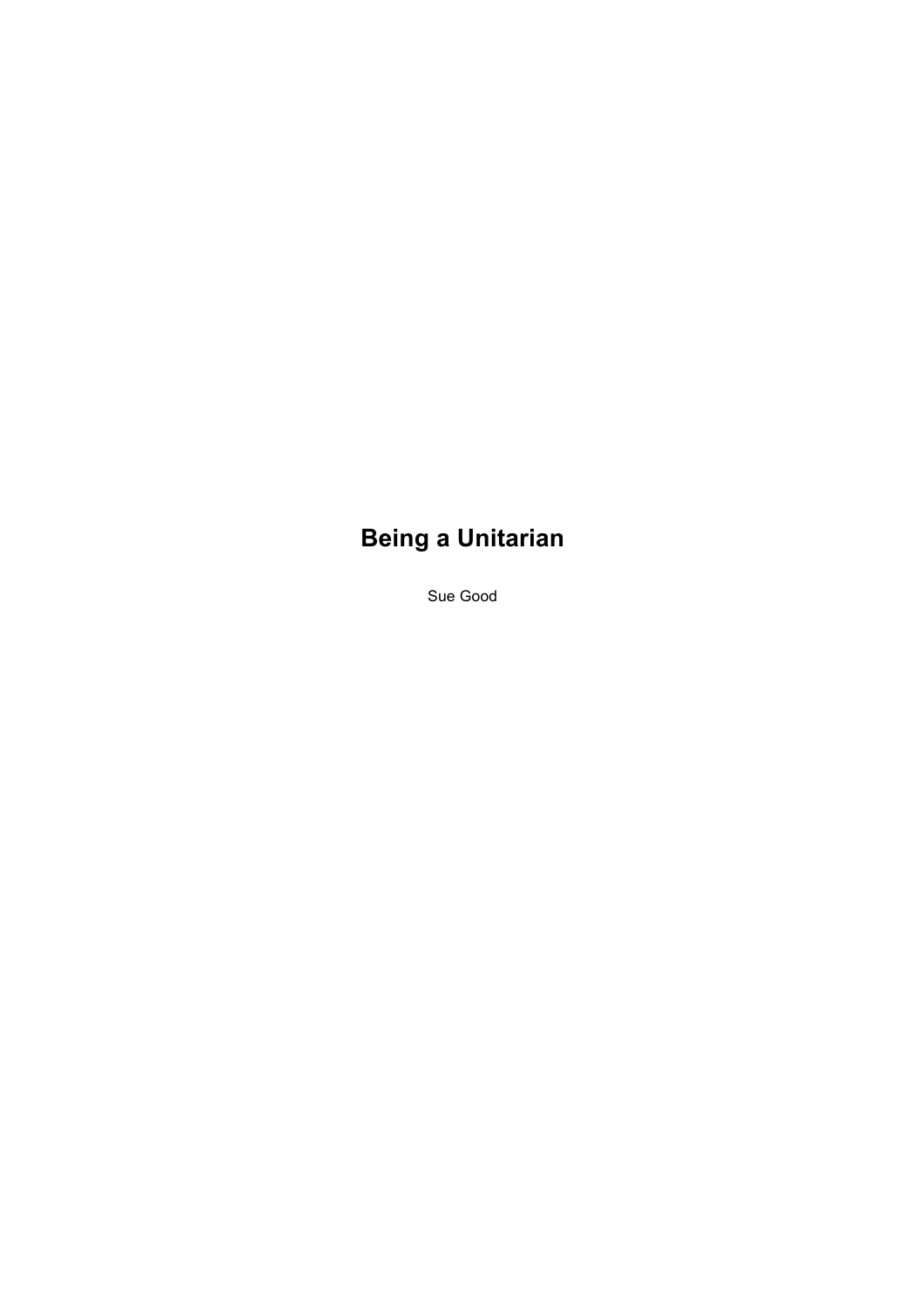## **Being a Unitarian**

Sue Good